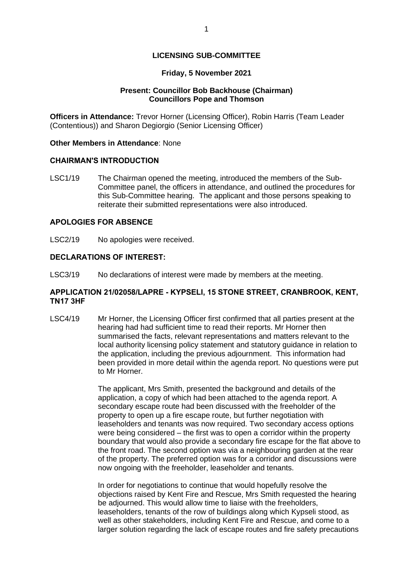## **LICENSING SUB-COMMITTEE**

### **Friday, 5 November 2021**

### **Present: Councillor Bob Backhouse (Chairman) Councillors Pope and Thomson**

**Officers in Attendance:** Trevor Horner (Licensing Officer), Robin Harris (Team Leader (Contentious)) and Sharon Degiorgio (Senior Licensing Officer)

#### **Other Members in Attendance**: None

#### **CHAIRMAN'S INTRODUCTION**

LSC1/19 The Chairman opened the meeting, introduced the members of the Sub-Committee panel, the officers in attendance, and outlined the procedures for this Sub-Committee hearing. The applicant and those persons speaking to reiterate their submitted representations were also introduced.

# **APOLOGIES FOR ABSENCE**

LSC2/19 No apologies were received.

## **DECLARATIONS OF INTEREST:**

LSC3/19 No declarations of interest were made by members at the meeting.

### **APPLICATION 21/02058/LAPRE - KYPSELI, 15 STONE STREET, CRANBROOK, KENT, TN17 3HF**

LSC4/19 Mr Horner, the Licensing Officer first confirmed that all parties present at the hearing had had sufficient time to read their reports. Mr Horner then summarised the facts, relevant representations and matters relevant to the local authority licensing policy statement and statutory guidance in relation to the application, including the previous adjournment. This information had been provided in more detail within the agenda report. No questions were put to Mr Horner.

> The applicant, Mrs Smith, presented the background and details of the application, a copy of which had been attached to the agenda report. A secondary escape route had been discussed with the freeholder of the property to open up a fire escape route, but further negotiation with leaseholders and tenants was now required. Two secondary access options were being considered – the first was to open a corridor within the property boundary that would also provide a secondary fire escape for the flat above to the front road. The second option was via a neighbouring garden at the rear of the property. The preferred option was for a corridor and discussions were now ongoing with the freeholder, leaseholder and tenants.

> In order for negotiations to continue that would hopefully resolve the objections raised by Kent Fire and Rescue, Mrs Smith requested the hearing be adjourned. This would allow time to liaise with the freeholders, leaseholders, tenants of the row of buildings along which Kypseli stood, as well as other stakeholders, including Kent Fire and Rescue, and come to a larger solution regarding the lack of escape routes and fire safety precautions